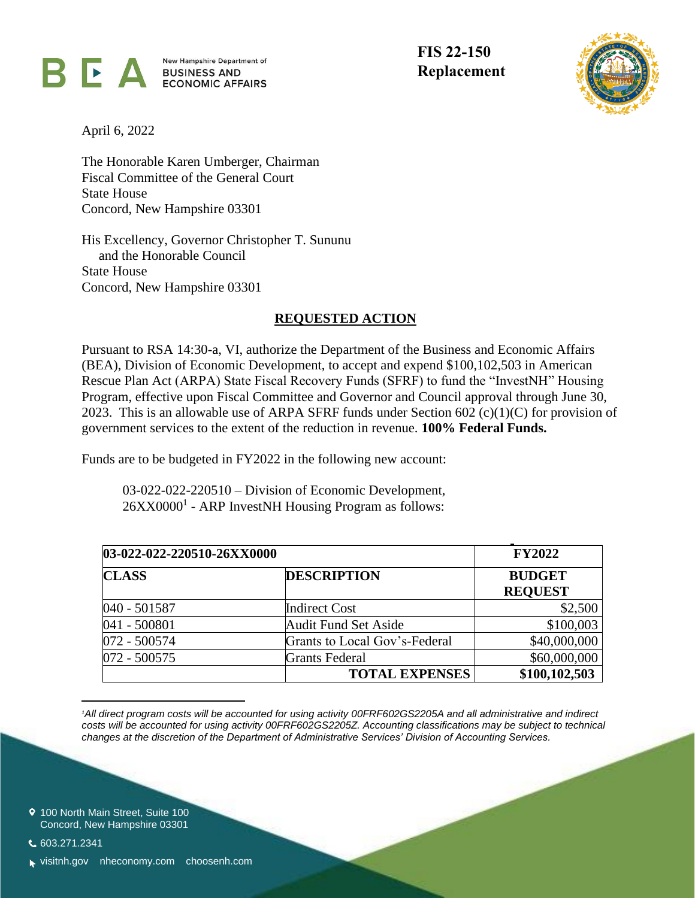

New Hampshire Department of BUSINESS AND ECONOMIC AFFAIRS **FIS 22-150**



April 6, 2022

The Honorable Karen Umberger, Chairman Fiscal Committee of the General Court State House Concord, New Hampshire 03301

His Excellency, Governor Christopher T. Sununu and the Honorable Council State House Concord, New Hampshire 03301

## **REQUESTED ACTION**

Pursuant to RSA 14:30-a, VI, authorize the Department of the Business and Economic Affairs (BEA), Division of Economic Development, to accept and expend \$100,102,503 in American Rescue Plan Act (ARPA) State Fiscal Recovery Funds (SFRF) to fund the "InvestNH" Housing Program, effective upon Fiscal Committee and Governor and Council approval through June 30, 2023. This is an allowable use of ARPA SFRF funds under Section 602  $(c)(1)(C)$  for provision of government services to the extent of the reduction in revenue. **100% Federal Funds.**

Funds are to be budgeted in FY2022 in the following new account:

03-022-022-220510 – Division of Economic Development, 26XX0000<sup>1</sup> - ARP InvestNH Housing Program as follows:

| 03-022-022-220510-26XX0000 |                               | <b>FY2022</b>                   |
|----------------------------|-------------------------------|---------------------------------|
| <b>CLASS</b>               | <b>DESCRIPTION</b>            | <b>BUDGET</b><br><b>REQUEST</b> |
| 040 - 501587               | <b>Indirect Cost</b>          | \$2,500                         |
| 041 - 500801               | <b>Audit Fund Set Aside</b>   | \$100,003                       |
| 072 - 500574               | Grants to Local Gov's-Federal | \$40,000,000                    |
| 072 - 500575               | <b>Grants Federal</b>         | \$60,000,000                    |
|                            | <b>TOTAL EXPENSES</b>         | \$100,102,503                   |

*<sup>1</sup>All direct program costs will be accounted for using activity 00FRF602GS2205A and all administrative and indirect costs will be accounted for using activity 00FRF602GS2205Z. Accounting classifications may be subject to technical changes at the discretion of the Department of Administrative Services' Division of Accounting Services.*

9 100 North Main Street, Suite 100 Concord, New Hampshire 03301

603.271.2341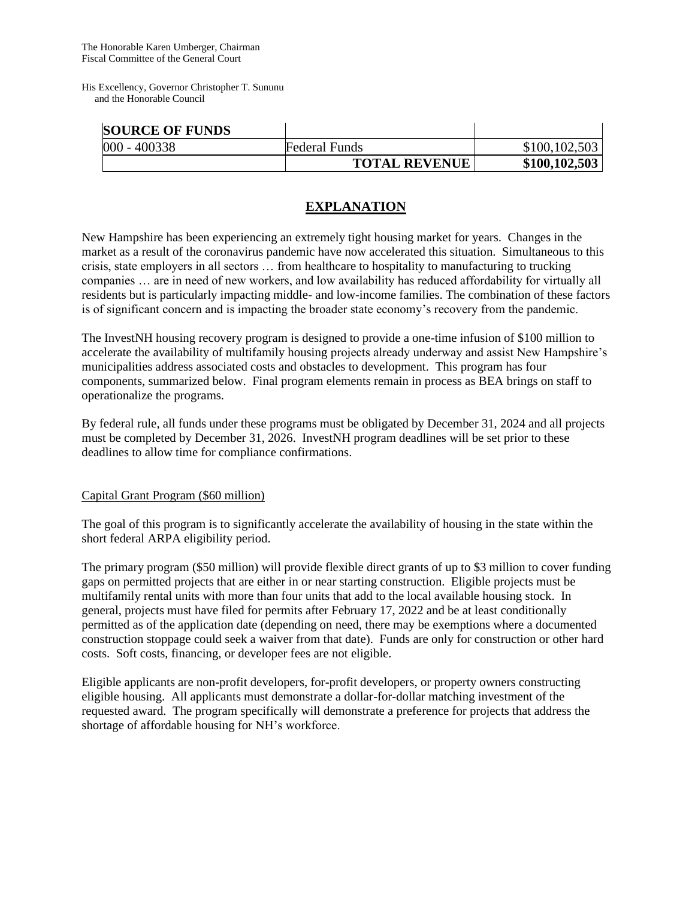His Excellency, Governor Christopher T. Sununu and the Honorable Council

| <b>SOURCE OF FUNDS</b> |                      |               |
|------------------------|----------------------|---------------|
| 000 - 400338           | <b>Federal Funds</b> | \$100,102,503 |
|                        | <b>TOTAL REVENUE</b> | \$100,102,503 |

## **EXPLANATION**

New Hampshire has been experiencing an extremely tight housing market for years. Changes in the market as a result of the coronavirus pandemic have now accelerated this situation. Simultaneous to this crisis, state employers in all sectors … from healthcare to hospitality to manufacturing to trucking companies … are in need of new workers, and low availability has reduced affordability for virtually all residents but is particularly impacting middle- and low-income families. The combination of these factors is of significant concern and is impacting the broader state economy's recovery from the pandemic.

The InvestNH housing recovery program is designed to provide a one-time infusion of \$100 million to accelerate the availability of multifamily housing projects already underway and assist New Hampshire's municipalities address associated costs and obstacles to development. This program has four components, summarized below. Final program elements remain in process as BEA brings on staff to operationalize the programs.

By federal rule, all funds under these programs must be obligated by December 31, 2024 and all projects must be completed by December 31, 2026. InvestNH program deadlines will be set prior to these deadlines to allow time for compliance confirmations.

## Capital Grant Program (\$60 million)

The goal of this program is to significantly accelerate the availability of housing in the state within the short federal ARPA eligibility period.

The primary program (\$50 million) will provide flexible direct grants of up to \$3 million to cover funding gaps on permitted projects that are either in or near starting construction. Eligible projects must be multifamily rental units with more than four units that add to the local available housing stock. In general, projects must have filed for permits after February 17, 2022 and be at least conditionally permitted as of the application date (depending on need, there may be exemptions where a documented construction stoppage could seek a waiver from that date). Funds are only for construction or other hard costs. Soft costs, financing, or developer fees are not eligible.

Eligible applicants are non-profit developers, for-profit developers, or property owners constructing eligible housing. All applicants must demonstrate a dollar-for-dollar matching investment of the requested award. The program specifically will demonstrate a preference for projects that address the shortage of affordable housing for NH's workforce.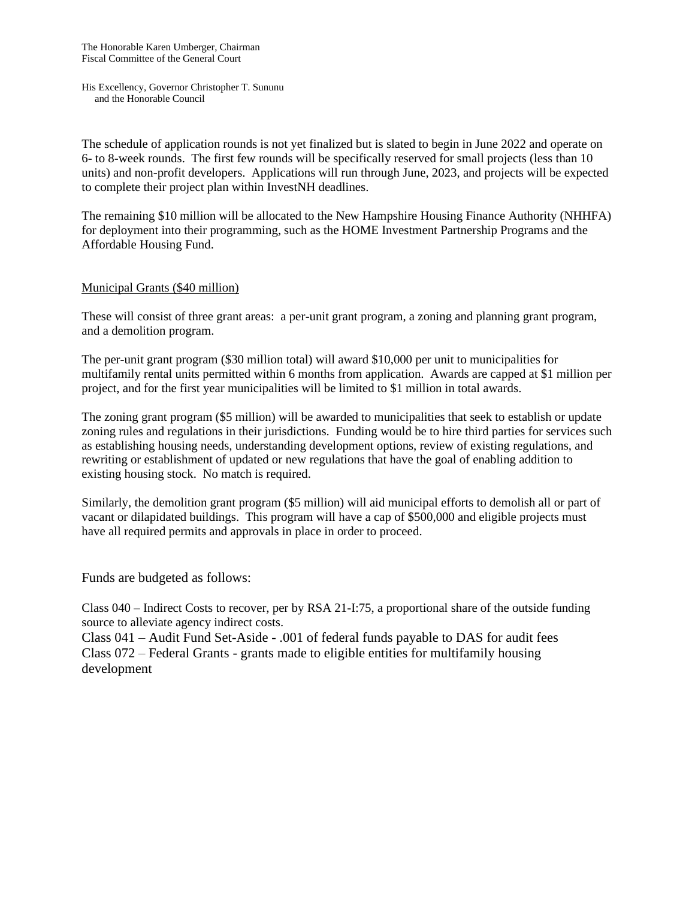His Excellency, Governor Christopher T. Sununu and the Honorable Council

The schedule of application rounds is not yet finalized but is slated to begin in June 2022 and operate on 6- to 8-week rounds. The first few rounds will be specifically reserved for small projects (less than 10 units) and non-profit developers. Applications will run through June, 2023, and projects will be expected to complete their project plan within InvestNH deadlines.

The remaining \$10 million will be allocated to the New Hampshire Housing Finance Authority (NHHFA) for deployment into their programming, such as the HOME Investment Partnership Programs and the Affordable Housing Fund.

## Municipal Grants (\$40 million)

These will consist of three grant areas: a per-unit grant program, a zoning and planning grant program, and a demolition program.

The per-unit grant program (\$30 million total) will award \$10,000 per unit to municipalities for multifamily rental units permitted within 6 months from application. Awards are capped at \$1 million per project, and for the first year municipalities will be limited to \$1 million in total awards.

The zoning grant program (\$5 million) will be awarded to municipalities that seek to establish or update zoning rules and regulations in their jurisdictions. Funding would be to hire third parties for services such as establishing housing needs, understanding development options, review of existing regulations, and rewriting or establishment of updated or new regulations that have the goal of enabling addition to existing housing stock. No match is required.

Similarly, the demolition grant program (\$5 million) will aid municipal efforts to demolish all or part of vacant or dilapidated buildings. This program will have a cap of \$500,000 and eligible projects must have all required permits and approvals in place in order to proceed.

Funds are budgeted as follows:

Class 040 – Indirect Costs to recover, per by RSA 21-I:75, a proportional share of the outside funding source to alleviate agency indirect costs.

Class 041 – Audit Fund Set-Aside - .001 of federal funds payable to DAS for audit fees Class 072 – Federal Grants - grants made to eligible entities for multifamily housing development